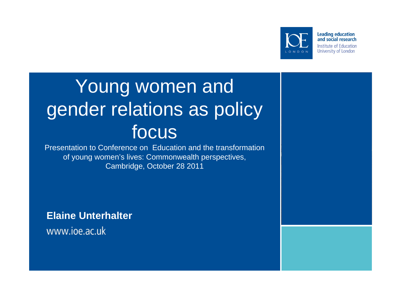

**Leading education** and social research **Institute of Education** University of London

# Young women and gender relations as policy focus

Presentation to Conference on Education and the transformation of young women's lives: Commonwealth perspectives, Cambridge, October 28 2011

**Elaine Unterhalter** www.ioe.ac.uk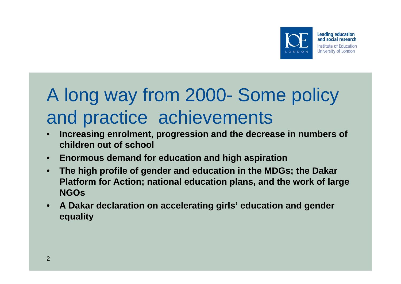

#### and social research **Institute of Education** University of London

# A long way from 2000- Some policy and practice achievements

- **Increasing enrolment, progression and the decrease in numbers of children out of school**
- **Enormous demand for education and high aspiration**
- **The high profile of gender and education in the MDGs; the Dakar Platform for Action; national education plans, and the work of large NGOs**
- **A Dakar declaration on accelerating girls' education and gender equality**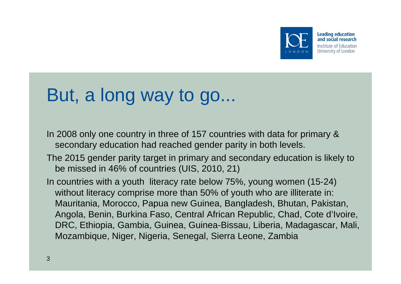

### and social research **Institute of Education** University of London

## But, a long way to go...

In 2008 only one country in three of 157 countries with data for primary & secondary education had reached gender parity in both levels.

The 2015 gender parity target in primary and secondary education is likely to be missed in 46% of countries (UIS, 2010, 21)

In countries with a youth literacy rate below 75%, young women (15-24) without literacy comprise more than 50% of youth who are illiterate in: Mauritania, Morocco, Papua new Guinea, Bangladesh, Bhutan, Pakistan, Angola, Benin, Burkina Faso, Central African Republic, Chad, Cote d'Ivoire, DRC, Ethiopia, Gambia, Guinea, Guinea-Bissau, Liberia, Madagascar, Mali, Mozambique, Niger, Nigeria, Senegal, Sierra Leone, Zambia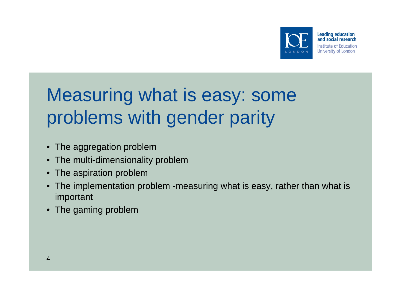

## Measuring what is easy: some problems with gender parity

- The aggregation problem
- The multi-dimensionality problem
- The aspiration problem
- The implementation problem -measuring what is easy, rather than what is important
- The gaming problem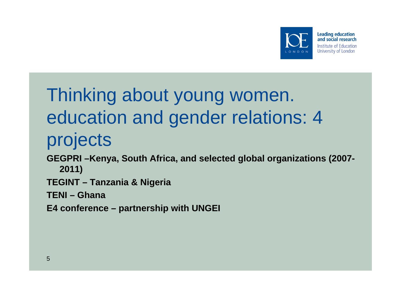

# Thinking about young women. education and gender relations: 4 projects

- **GEGPRI –Kenya, South Africa, and selected global organizations (2007- 2011)**
- **TEGINT Tanzania & Nigeria**
- **TENI Ghana**
- **E4 conference partnership with UNGEI**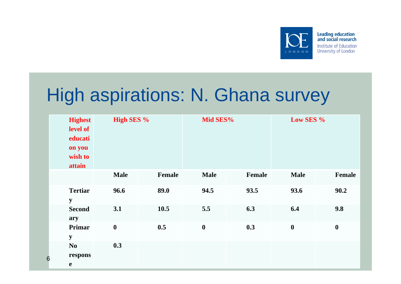

## High aspirations: N. Ghana survey

| <b>Highest</b><br>level of<br>educati<br>on you<br>wish to<br>attain | <b>High SES %</b> |        | Mid SES%         |        | Low SES %        |                  |
|----------------------------------------------------------------------|-------------------|--------|------------------|--------|------------------|------------------|
|                                                                      | <b>Male</b>       | Female | <b>Male</b>      | Female | <b>Male</b>      | Female           |
| <b>Tertiar</b><br>${\bf y}$                                          | 96.6              | 89.0   | 94.5             | 93.5   | 93.6             | 90.2             |
| <b>Second</b><br>ary                                                 | 3.1               | 10.5   | 5.5              | 6.3    | 6.4              | 9.8              |
| Primar<br>${\bf y}$                                                  | $\boldsymbol{0}$  | 0.5    | $\boldsymbol{0}$ | 0.3    | $\boldsymbol{0}$ | $\boldsymbol{0}$ |
| N <sub>o</sub><br>respons<br>e                                       | 0.3               |        |                  |        |                  |                  |

6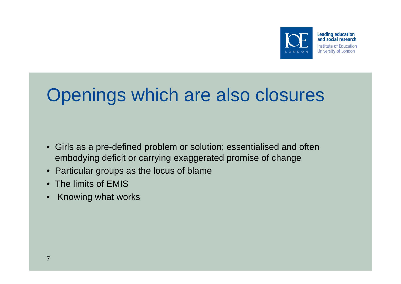

# Openings which are also closures

- Girls as a pre-defined problem or solution; essentialised and often embodying deficit or carrying exaggerated promise of change
- Particular groups as the locus of blame
- The limits of EMIS
- Knowing what works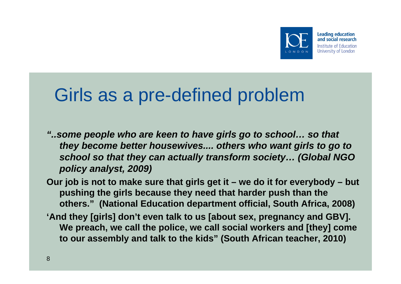

### Girls as a pre-defined problem

- *"..some people who are keen to have girls go to school… so that they become better housewives.... others who want girls to go to school so that they can actually transform society… (Global NGO policy analyst, 2009)*
- **Our job is not to make sure that girls get it we do it for everybody but pushing the girls because they need that harder push than the others." (National Education department official, South Africa, 2008)**
- **'And they [girls] don't even talk to us [about sex, pregnancy and GBV]. We preach, we call the police, we call social workers and [they] come to our assembly and talk to the kids" (South African teacher, 2010)**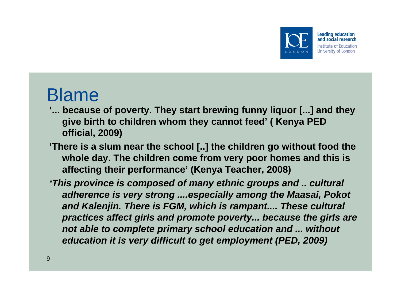

#### **Leading education** and social research **Institute of Education** University of London

### Blame

- **'... because of poverty. They start brewing funny liquor [...] and they give birth to children whom they cannot feed' ( Kenya PED official, 2009)**
- **'There is a slum near the school [..] the children go without food the whole day. The children come from very poor homes and this is affecting their performance' (Kenya Teacher, 2008)**
- *'This province is composed of many ethnic groups and .. cultural adherence is very strong ....especially among the Maasai, Pokot*  and Kalenjin. There is FGM, which is rampant.... These cultural *practices affect girls and promote poverty... because the girls are not able to complete primary school education and ... without education it is very difficult to get employment (PED, 2009)*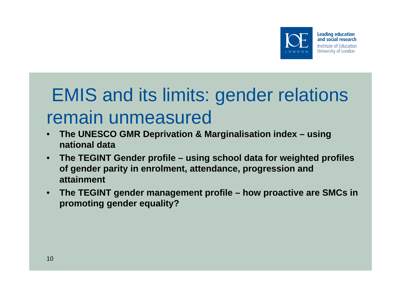

# EMIS and its limits: gender relations remain unmeasured

- **The UNESCO GMR Deprivation & Marginalisation index using national data**
- **The TEGINT Gender profile using school data for weighted profiles of gender parity in enrolment, attendance, progression and attainment**
- **The TEGINT gender management profile how proactive are SMCs in promoting gender equality?**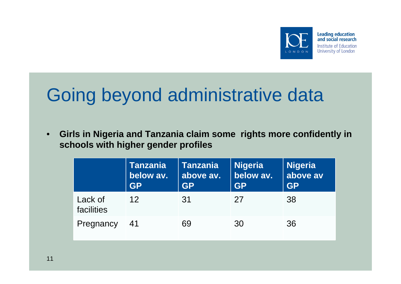

# Going beyond administrative data

• **Girls in Nigeria and Tanzania claim some rights more confidently in schools with higher gender profiles** 

|                       | <b>Tanzania</b><br>below av.<br><b>GP</b> | <b>Tanzania</b><br>above av.<br><b>GP</b> | <b>Nigeria</b><br>below av.<br><b>GP</b> | <b>Nigeria</b><br>above av<br><b>GP</b> |
|-----------------------|-------------------------------------------|-------------------------------------------|------------------------------------------|-----------------------------------------|
| Lack of<br>facilities | 12 <sup>°</sup>                           | 31                                        | 27                                       | 38                                      |
| Pregnancy             | -41                                       | 69                                        | 30                                       | 36                                      |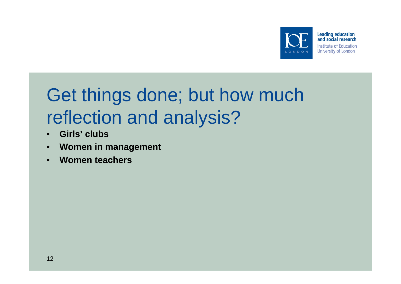

## Get things done; but how much reflection and analysis?

- **Girls' clubs**
- **Women in management**
- **Women teachers**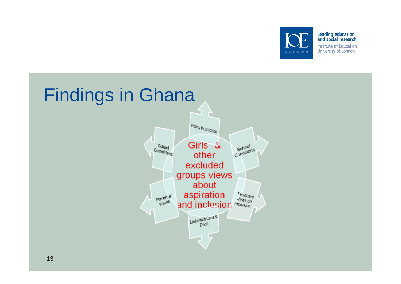

Leading education<br>and social research **Institute of Education** University of London

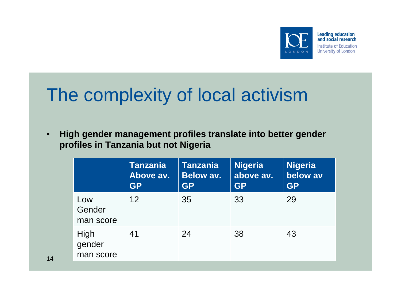



## The complexity of local activism

• **High gender management profiles translate into better gender profiles in Tanzania but not Nigeria**

|                             | <b>Tanzania</b><br>Above av.<br><b>GP</b> | <b>Tanzania</b><br><b>Below av.</b><br><b>GP</b> | <b>Nigeria</b><br>above av.<br><b>GP</b> | <b>Nigeria</b><br>below av<br><b>GP</b> |
|-----------------------------|-------------------------------------------|--------------------------------------------------|------------------------------------------|-----------------------------------------|
| Low<br>Gender<br>man score  | $12 \overline{ }$                         | 35                                               | 33                                       | 29                                      |
| High<br>gender<br>man score | 41                                        | 24                                               | 38                                       | 43                                      |